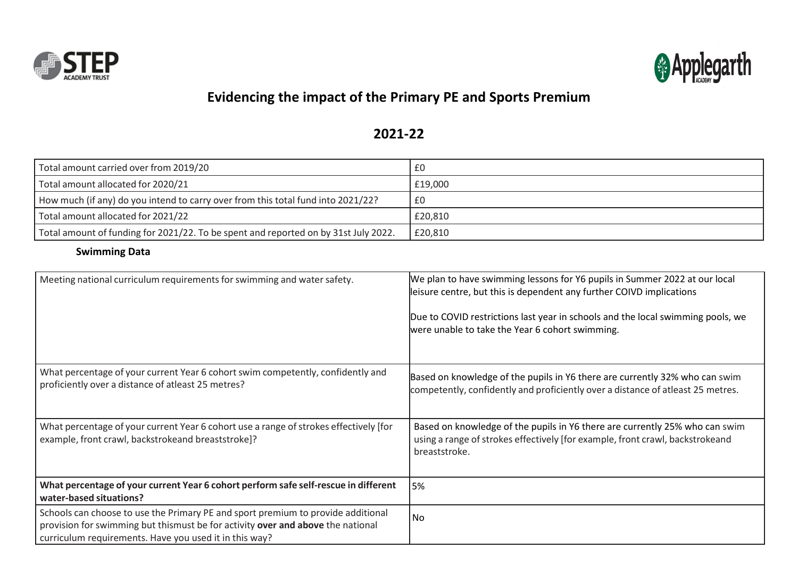



## **Evidencing the impact of the Primary PE and Sports Premium**

## **2021-22**

| Total amount carried over from 2019/20                                              | £0      |
|-------------------------------------------------------------------------------------|---------|
| Total amount allocated for 2020/21                                                  | £19.000 |
| How much (if any) do you intend to carry over from this total fund into 2021/22?    | £0      |
| Total amount allocated for 2021/22                                                  | £20,810 |
| Total amount of funding for 2021/22. To be spent and reported on by 31st July 2022. | £20,810 |

## **Swimming Data**

| Meeting national curriculum requirements for swimming and water safety.                                                                                                                                                       | We plan to have swimming lessons for Y6 pupils in Summer 2022 at our local<br>leisure centre, but this is dependent any further COIVD implications<br>Due to COVID restrictions last year in schools and the local swimming pools, we<br>were unable to take the Year 6 cohort swimming. |
|-------------------------------------------------------------------------------------------------------------------------------------------------------------------------------------------------------------------------------|------------------------------------------------------------------------------------------------------------------------------------------------------------------------------------------------------------------------------------------------------------------------------------------|
| What percentage of your current Year 6 cohort swim competently, confidently and<br>proficiently over a distance of atleast 25 metres?                                                                                         | Based on knowledge of the pupils in Y6 there are currently 32% who can swim<br>competently, confidently and proficiently over a distance of atleast 25 metres.                                                                                                                           |
| What percentage of your current Year 6 cohort use a range of strokes effectively [for<br>example, front crawl, backstrokeand breaststroke]?                                                                                   | Based on knowledge of the pupils in Y6 there are currently 25% who can swim<br>using a range of strokes effectively [for example, front crawl, backstrokeand<br>breaststroke.                                                                                                            |
| What percentage of your current Year 6 cohort perform safe self-rescue in different<br>water-based situations?                                                                                                                | 5%                                                                                                                                                                                                                                                                                       |
| Schools can choose to use the Primary PE and sport premium to provide additional<br>provision for swimming but thismust be for activity over and above the national<br>curriculum requirements. Have you used it in this way? | <b>No</b>                                                                                                                                                                                                                                                                                |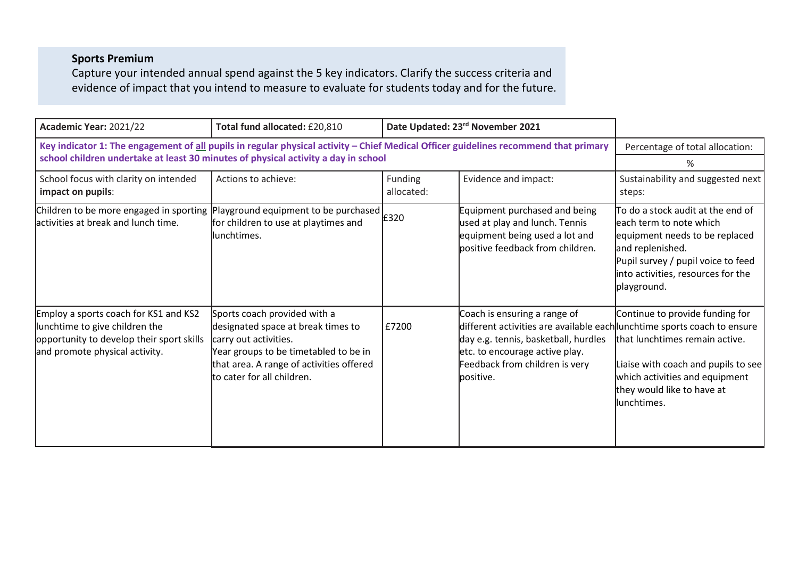## **Sports Premium**

Capture your intended annual spend against the 5 key indicators. Clarify the success criteria and evidence of impact that you intend to measure to evaluate for students today and for the future.

| Academic Year: 2021/22                                                                                                                                 | Total fund allocated: £20,810                                                                                                                                                                                   | Date Updated: 23rd November 2021 |                                                                                                                                                                                                                                    |                                                                                                                                                                                                                |
|--------------------------------------------------------------------------------------------------------------------------------------------------------|-----------------------------------------------------------------------------------------------------------------------------------------------------------------------------------------------------------------|----------------------------------|------------------------------------------------------------------------------------------------------------------------------------------------------------------------------------------------------------------------------------|----------------------------------------------------------------------------------------------------------------------------------------------------------------------------------------------------------------|
| Key indicator 1: The engagement of all pupils in regular physical activity - Chief Medical Officer guidelines recommend that primary                   | Percentage of total allocation:                                                                                                                                                                                 |                                  |                                                                                                                                                                                                                                    |                                                                                                                                                                                                                |
| school children undertake at least 30 minutes of physical activity a day in school                                                                     | %                                                                                                                                                                                                               |                                  |                                                                                                                                                                                                                                    |                                                                                                                                                                                                                |
| School focus with clarity on intended<br>impact on pupils:                                                                                             | Actions to achieve:                                                                                                                                                                                             | Funding<br>allocated:            | Evidence and impact:                                                                                                                                                                                                               | Sustainability and suggested next<br>steps:                                                                                                                                                                    |
| Children to be more engaged in sporting<br>lactivities at break and lunch time.                                                                        | Playground equipment to be purchased<br>for children to use at playtimes and<br>llunchtimes.                                                                                                                    | £320                             | Equipment purchased and being<br>used at play and lunch. Tennis<br>equipment being used a lot and<br>positive feedback from children.                                                                                              | To do a stock audit at the end of<br>leach term to note which<br>equipment needs to be replaced<br>and replenished.<br>Pupil survey / pupil voice to feed<br>into activities, resources for the<br>playground. |
| Employ a sports coach for KS1 and KS2<br>lunchtime to give children the<br>opportunity to develop their sport skills<br>and promote physical activity. | Sports coach provided with a<br>designated space at break times to<br>carry out activities.<br>Year groups to be timetabled to be in<br>that area. A range of activities offered<br>lto cater for all children. | £7200                            | Coach is ensuring a range of<br>different activities are available each lunchtime sports coach to ensure<br>day e.g. tennis, basketball, hurdles<br>etc. to encourage active play.<br>Feedback from children is very<br>lpositive. | Continue to provide funding for<br>that lunchtimes remain active.<br>Liaise with coach and pupils to see<br>which activities and equipment<br>they would like to have at<br>lunchtimes.                        |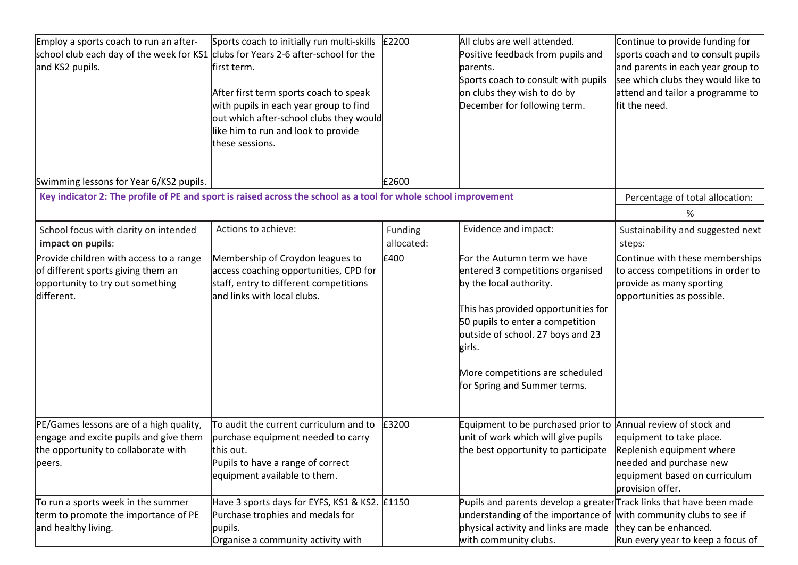| Employ a sports coach to run an after-<br>school club each day of the week for KS1 clubs for Years 2-6 after-school for the<br>and KS2 pupils. | Sports coach to initially run multi-skills<br>first term.<br>After first term sports coach to speak<br>with pupils in each year group to find<br>out which after-school clubs they would<br>like him to run and look to provide<br>these sessions. | £2200                 | All clubs are well attended.<br>Positive feedback from pupils and<br>parents.<br>Sports coach to consult with pupils<br>on clubs they wish to do by<br>December for following term.                                                                                                     | Continue to provide funding for<br>sports coach and to consult pupils<br>and parents in each year group to<br>see which clubs they would like to<br>attend and tailor a programme to<br>fit the need. |
|------------------------------------------------------------------------------------------------------------------------------------------------|----------------------------------------------------------------------------------------------------------------------------------------------------------------------------------------------------------------------------------------------------|-----------------------|-----------------------------------------------------------------------------------------------------------------------------------------------------------------------------------------------------------------------------------------------------------------------------------------|-------------------------------------------------------------------------------------------------------------------------------------------------------------------------------------------------------|
| Swimming lessons for Year 6/KS2 pupils.                                                                                                        | Key indicator 2: The profile of PE and sport is raised across the school as a tool for whole school improvement                                                                                                                                    | £2600                 |                                                                                                                                                                                                                                                                                         | Percentage of total allocation:                                                                                                                                                                       |
| School focus with clarity on intended<br>impact on pupils:                                                                                     | Actions to achieve:                                                                                                                                                                                                                                | Funding<br>allocated: | Evidence and impact:                                                                                                                                                                                                                                                                    | %<br>Sustainability and suggested next<br>steps:                                                                                                                                                      |
| Provide children with access to a range<br>of different sports giving them an<br>opportunity to try out something<br>different.                | Membership of Croydon leagues to<br>access coaching opportunities, CPD for<br>staff, entry to different competitions<br>and links with local clubs.                                                                                                | £400                  | For the Autumn term we have<br>entered 3 competitions organised<br>by the local authority.<br>This has provided opportunities for<br>50 pupils to enter a competition<br>outside of school. 27 boys and 23<br>girls.<br>More competitions are scheduled<br>for Spring and Summer terms. | Continue with these memberships<br>to access competitions in order to<br>provide as many sporting<br>opportunities as possible.                                                                       |
| PE/Games lessons are of a high quality,<br>engage and excite pupils and give them<br>the opportunity to collaborate with<br>peers.             | To audit the current curriculum and to<br>purchase equipment needed to carry<br>this out.<br>Pupils to have a range of correct<br>equipment available to them.                                                                                     | £3200                 | Equipment to be purchased prior to Annual review of stock and<br>unit of work which will give pupils<br>the best opportunity to participate                                                                                                                                             | equipment to take place.<br>Replenish equipment where<br>needed and purchase new<br>equipment based on curriculum<br>provision offer.                                                                 |
| To run a sports week in the summer<br>term to promote the importance of PE<br>and healthy living.                                              | Have 3 sports days for EYFS, KS1 & KS2. £1150<br>Purchase trophies and medals for<br>pupils.<br>Organise a community activity with                                                                                                                 |                       | Pupils and parents develop a greater Track links that have been made<br>understanding of the importance of with community clubs to see if<br>physical activity and links are made they can be enhanced.<br>with community clubs.                                                        | Run every year to keep a focus of                                                                                                                                                                     |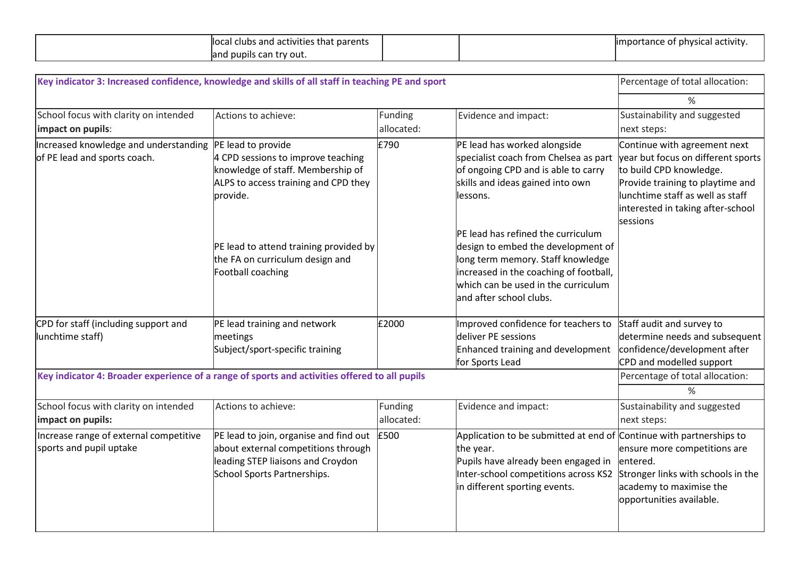| parents<br>s tha:<br>a activities *<br>clubs and<br>$n_{\alpha}$<br>$\ldots$ |  | ' activity<br>tance of<br>101001<br>nh<br>'ım<br>יש<br>. |
|------------------------------------------------------------------------------|--|----------------------------------------------------------|
| . can try out<br>pupils<br>land                                              |  |                                                          |

| Key indicator 3: Increased confidence, knowledge and skills of all staff in teaching PE and sport |                                                                                                                                                   |                       |                                                                                                                                                                                                                                   | Percentage of total allocation:                                                                                                                                                                                                |
|---------------------------------------------------------------------------------------------------|---------------------------------------------------------------------------------------------------------------------------------------------------|-----------------------|-----------------------------------------------------------------------------------------------------------------------------------------------------------------------------------------------------------------------------------|--------------------------------------------------------------------------------------------------------------------------------------------------------------------------------------------------------------------------------|
|                                                                                                   |                                                                                                                                                   |                       |                                                                                                                                                                                                                                   | %                                                                                                                                                                                                                              |
| School focus with clarity on intended<br>impact on pupils:                                        | Actions to achieve:                                                                                                                               | Funding<br>allocated: | Evidence and impact:                                                                                                                                                                                                              | Sustainability and suggested<br>next steps:                                                                                                                                                                                    |
| Increased knowledge and understanding<br>of PE lead and sports coach.                             | PE lead to provide<br>4 CPD sessions to improve teaching<br>knowledge of staff. Membership of<br>ALPS to access training and CPD they<br>provide. | £790                  | PE lead has worked alongside<br>specialist coach from Chelsea as part<br>of ongoing CPD and is able to carry<br>skills and ideas gained into own<br>lessons.                                                                      | Continue with agreement next<br>year but focus on different sports<br>to build CPD knowledge.<br>Provide training to playtime and<br>llunchtime staff as well as staff<br>interested in taking after-school<br><b>sessions</b> |
|                                                                                                   | PE lead to attend training provided by<br>the FA on curriculum design and<br>Football coaching                                                    |                       | <b>PE lead has refined the curriculum</b><br>design to embed the development of<br>long term memory. Staff knowledge<br>increased in the coaching of football,<br>which can be used in the curriculum<br>land after school clubs. |                                                                                                                                                                                                                                |
| CPD for staff (including support and<br>lunchtime staff)                                          | PE lead training and network<br>meetings<br>Subject/sport-specific training                                                                       | £2000                 | Improved confidence for teachers to<br>deliver PE sessions<br>Enhanced training and development<br>for Sports Lead                                                                                                                | Staff audit and survey to<br>determine needs and subsequent<br>confidence/development after<br>CPD and modelled support                                                                                                        |
| Key indicator 4: Broader experience of a range of sports and activities offered to all pupils     |                                                                                                                                                   |                       |                                                                                                                                                                                                                                   | Percentage of total allocation:                                                                                                                                                                                                |
|                                                                                                   |                                                                                                                                                   |                       |                                                                                                                                                                                                                                   | %                                                                                                                                                                                                                              |
| School focus with clarity on intended<br>impact on pupils:                                        | Actions to achieve:                                                                                                                               | Funding<br>allocated: | Evidence and impact:                                                                                                                                                                                                              | Sustainability and suggested<br>next steps:                                                                                                                                                                                    |
| Increase range of external competitive<br>sports and pupil uptake                                 | PE lead to join, organise and find out<br>about external competitions through<br>leading STEP liaisons and Croydon<br>School Sports Partnerships. | £500                  | Application to be submitted at end of Continue with partnerships to<br>the year.<br>Pupils have already been engaged in<br>Inter-school competitions across KS2<br>in different sporting events.                                  | ensure more competitions are<br>entered.<br>Stronger links with schools in the<br>academy to maximise the<br>opportunities available.                                                                                          |